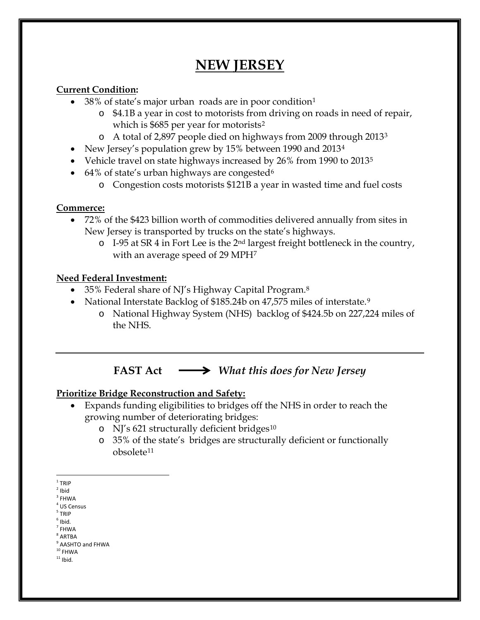# **NEW JERSEY**

## **Current Condition:**

- 38% of state's major urban roads are in poor condition[1](#page-0-0)
	- o \$4.1B a year in cost to motorists from driving on roads in need of repair, which is \$685 per year for motorists<sup>[2](#page-0-1)</sup>
	- o A total of 2,897 people died on highways from 2009 through 2013[3](#page-0-2)
- New Jersey's population grew by 15% between 1990 and 2013<sup>[4](#page-0-3)</sup>
- Vehicle travel on state highways increased by 26% from 1990 to 2013<sup>[5](#page-0-4)</sup>
- [6](#page-0-5)4% of state's urban highways are congested<sup>6</sup>
	- o Congestion costs motorists \$121B a year in wasted time and fuel costs

#### **Commerce:**

- 72% of the \$423 billion worth of commodities delivered annually from sites in New Jersey is transported by trucks on the state's highways.
	- o I-95 at SR 4 in Fort Lee is the 2nd largest freight bottleneck in the country, with an average speed of 29 MPH[7](#page-0-6)

#### **Need Federal Investment:**

- 35% Federal share of NJ's Highway Capital Program.<sup>[8](#page-0-7)</sup>
- National Interstate Backlog of \$185.24b on 47,575 miles of interstate.<sup>[9](#page-0-8)</sup>
	- o National Highway System (NHS) backlog of \$424.5b on 227,224 miles of the NHS.

**FAST Act** *What this does for New Jersey*

# **Prioritize Bridge Reconstruction and Safety:**

- Expands funding eligibilities to bridges off the NHS in order to reach the growing number of deteriorating bridges:
	- o NJ's 621 structurally deficient bridges<sup>[10](#page-0-9)</sup>
	- o 35% of the state's bridges are structurally deficient or functionally obsolete<sup>[11](#page-0-10)</sup>

<span id="page-0-4"></span><sup>5</sup> TRIP

 $1$  TRIP

<span id="page-0-1"></span><span id="page-0-0"></span> $2$  Ibid

<span id="page-0-2"></span> $3$  FHWA

<span id="page-0-3"></span><sup>4</sup> US Census

<span id="page-0-5"></span> $<sup>6</sup>$  Ibid.</sup>  $<sup>7</sup>$  FHWA</sup>

<span id="page-0-7"></span><span id="page-0-6"></span> $^8$  ARTBA

<sup>&</sup>lt;sup>9</sup> AASHTO and FHWA

<span id="page-0-10"></span><span id="page-0-9"></span><span id="page-0-8"></span> $10$  FHWA  $11$  Ibid.